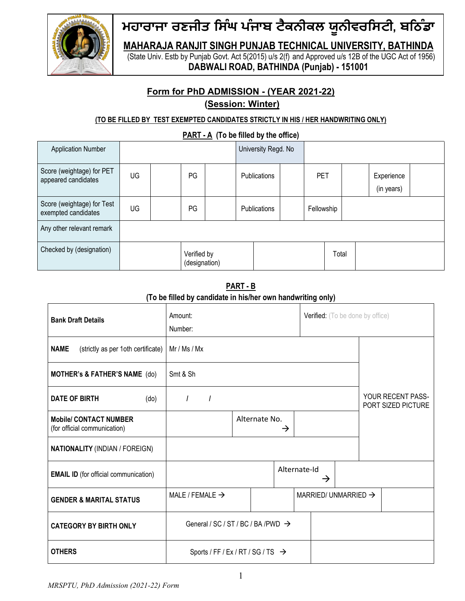

Fried Starf of The Manuson of The Handwritten of The Handwritten Only Univ. Est<br>
Univ. Est by Punjab Govt. Act 5(2015) u/s 2(f) and Approved u/s 12B of the UGC Act of 1956)<br>
DABWALI ROAD, BATHINDA (Punjab) - 151001<br>
Form B Frive Line Constrained Management Constrained University<br>
SINGH PUNJAB TECHNICAL UNIVERSITY, BATHINDA<br>
ab Govt. Act 5(2015) u/s 2(f) and Approved u/s 12B of the UGC Act of 1956)<br>
WALI ROAD, BATHINDA (Punjab) - 151001<br>
AD ਮਹਾਰਾਜਾ ਰਣਜੀਤ ਸਿੰਘ ਪੰਜਾਬ ਟੈਕਨੀਕਲ ਯੂਨੀਵਰਸਿਟੀ, ਬਠਿੰਡਾ<br>MAHARAJA RANJIT SINGH PUNJAB TECHNICAL UNIVERSITY, BATHINDA<br>(State Univ. Estb by Punjab Govt. Act 5(2015) u/s 2(f) and Approved u/s 12B of the UGC Act of 1956)<br>DABWALI Maharaja Ranji Shika Lift Parada Maharaja (Sarah Pundala Ranji Shika Perdining Ranji)<br>Maharaja Ranji Singh Punjab Technical University, Bathinda<br>(State Univ. Estb by Punjab Govt. Act 5(2015) u/s 2(f) and Approved u/s 12B Karlam Horder Hill Christ (State Univ. Estb by Punjab Govt. Act 5(2015) u/s 2(f) and Approved u/s 12B of the UGC Act of 1956)<br>(State Univ. Estb by Punjab Govt. Act 5(2015) u/s 2(f) and Approved u/s 12B of the UGC Act of 1 ਜੀਤ ਸਿੰਘ ਪੰਜਾਬ ਟੈਕਨੀਕਲ ਯੂਨੀਵਰਸਿਟੀ, ਬਠਿੰਡਾ<br>NJIT SINGH PUNJAB TECHNICAL UNIVERSITY, BATHINDA<br>Punjab Govt. Act 5(2015) u/s 2(f) and Approved u/s 12B of the UGC Act of 1956)<br>DABWALI ROAD, BATHINDA (Punjab) - 151001<br>PhD ADMIS

|                                                   |                                    |                              | ਮਹਾਰਾਜਾ ਰਣਜੀਤ ਸਿੰਘ ਪੰਜਾਬ ਟੈਕਨੀਕਲ ਯੂਨੀਵਰਸਿਟੀ, ਬਠਿੰਡਾ<br><b>MAHARAJA RANJIT SINGH PUNJAB TECHNICAL UNIVERSITY, BATHINDA</b><br>(State Univ. Estb by Punjab Govt. Act 5(2015) u/s 2(f) and Approved u/s 12B of the UGC Act of 1956)<br>DABWALI ROAD, BATHINDA (Punjab) - 151001 |                     |            |       |                                  |                          |
|---------------------------------------------------|------------------------------------|------------------------------|------------------------------------------------------------------------------------------------------------------------------------------------------------------------------------------------------------------------------------------------------------------------------|---------------------|------------|-------|----------------------------------|--------------------------|
|                                                   |                                    |                              | Form for PhD ADMISSION - (YEAR 2021-22)<br>(Session: Winter)<br>(TO BE FILLED BY TEST EXEMPTED CANDIDATES STRICTLY IN HIS / HER HANDWRITING ONLY)                                                                                                                            |                     |            |       |                                  |                          |
|                                                   |                                    |                              | PART - A (To be filled by the office)                                                                                                                                                                                                                                        |                     |            |       |                                  |                          |
| <b>Application Number</b>                         |                                    |                              |                                                                                                                                                                                                                                                                              | University Regd. No |            |       |                                  |                          |
| Score (weightage) for PET<br>appeared candidates  | UG                                 | PG                           |                                                                                                                                                                                                                                                                              | Publications        | PET        |       |                                  | Experience<br>(in years) |
| Score (weightage) for Test<br>exempted candidates | UG                                 | PG                           |                                                                                                                                                                                                                                                                              | Publications        | Fellowship |       |                                  |                          |
| Any other relevant remark                         |                                    |                              |                                                                                                                                                                                                                                                                              |                     |            |       |                                  |                          |
| Checked by (designation)                          |                                    | Verified by<br>(designation) |                                                                                                                                                                                                                                                                              |                     |            | Total |                                  |                          |
|                                                   |                                    |                              | <b>PART - B</b><br>(To be filled by candidate in his/her own handwriting only)                                                                                                                                                                                               |                     |            |       |                                  |                          |
| <b>Bank Draft Details</b>                         |                                    | Amount:<br>Number:           |                                                                                                                                                                                                                                                                              |                     |            |       | Verified: (To be done by office) |                          |
| <b>NAME</b>                                       | (strictly as per 1oth certificate) | Mr / Ms / Mx                 |                                                                                                                                                                                                                                                                              |                     |            |       |                                  |                          |
| <b>MOTHER's &amp; FATHER'S NAME</b> (do)          |                                    | Smt & Sh                     |                                                                                                                                                                                                                                                                              |                     |            |       |                                  |                          |
|                                                   |                                    |                              |                                                                                                                                                                                                                                                                              |                     |            |       |                                  | VOLID DECENT DASS        |

| (in years)<br>core (weightage) for Test<br>UG<br>PG<br>Fellowship<br>Publications<br>Verified by<br>Total<br>(designation)<br>PART - B<br>(To be filled by candidate in his/her own handwriting only)<br>Verified: (To be done by office)<br>Amount:<br><b>Bank Draft Details</b><br>Number:<br>(strictly as per 1oth certificate)   Mr / Ms / Mx<br><b>NAME</b><br>Smt & Sh<br><b>MOTHER's &amp; FATHER'S NAME</b> (do)<br>YOUR RECENT PASS-<br><b>DATE OF BIRTH</b><br>(do)<br>PORT SIZED PICTURE<br><b>Mobile/ CONTACT NUMBER</b><br>Alternate No.<br>(for official communication)<br>$\rightarrow$<br><b>NATIONALITY (INDIAN / FOREIGN)</b><br>Alternate-Id<br><b>EMAIL ID</b> (for official communication)<br>$\rightarrow$<br>MARRIED/ UNMARRIED $\rightarrow$<br>MALE / FEMALE $\rightarrow$<br><b>GENDER &amp; MARITAL STATUS</b><br>General / SC / ST / BC / BA / PWD →<br><b>CATEGORY BY BIRTH ONLY</b> | peared candidates | UG | PG. | Publications | <b>PET</b> |  | Experience |
|-------------------------------------------------------------------------------------------------------------------------------------------------------------------------------------------------------------------------------------------------------------------------------------------------------------------------------------------------------------------------------------------------------------------------------------------------------------------------------------------------------------------------------------------------------------------------------------------------------------------------------------------------------------------------------------------------------------------------------------------------------------------------------------------------------------------------------------------------------------------------------------------------------------------|-------------------|----|-----|--------------|------------|--|------------|
| empted candidates<br>ny other relevant remark<br>hecked by (designation)                                                                                                                                                                                                                                                                                                                                                                                                                                                                                                                                                                                                                                                                                                                                                                                                                                          |                   |    |     |              |            |  |            |
|                                                                                                                                                                                                                                                                                                                                                                                                                                                                                                                                                                                                                                                                                                                                                                                                                                                                                                                   |                   |    |     |              |            |  |            |
|                                                                                                                                                                                                                                                                                                                                                                                                                                                                                                                                                                                                                                                                                                                                                                                                                                                                                                                   |                   |    |     |              |            |  |            |
|                                                                                                                                                                                                                                                                                                                                                                                                                                                                                                                                                                                                                                                                                                                                                                                                                                                                                                                   |                   |    |     |              |            |  |            |
|                                                                                                                                                                                                                                                                                                                                                                                                                                                                                                                                                                                                                                                                                                                                                                                                                                                                                                                   |                   |    |     |              |            |  |            |
|                                                                                                                                                                                                                                                                                                                                                                                                                                                                                                                                                                                                                                                                                                                                                                                                                                                                                                                   |                   |    |     |              |            |  |            |
|                                                                                                                                                                                                                                                                                                                                                                                                                                                                                                                                                                                                                                                                                                                                                                                                                                                                                                                   |                   |    |     |              |            |  |            |
|                                                                                                                                                                                                                                                                                                                                                                                                                                                                                                                                                                                                                                                                                                                                                                                                                                                                                                                   |                   |    |     |              |            |  |            |
|                                                                                                                                                                                                                                                                                                                                                                                                                                                                                                                                                                                                                                                                                                                                                                                                                                                                                                                   |                   |    |     |              |            |  |            |
|                                                                                                                                                                                                                                                                                                                                                                                                                                                                                                                                                                                                                                                                                                                                                                                                                                                                                                                   |                   |    |     |              |            |  |            |
|                                                                                                                                                                                                                                                                                                                                                                                                                                                                                                                                                                                                                                                                                                                                                                                                                                                                                                                   |                   |    |     |              |            |  |            |
|                                                                                                                                                                                                                                                                                                                                                                                                                                                                                                                                                                                                                                                                                                                                                                                                                                                                                                                   |                   |    |     |              |            |  |            |
|                                                                                                                                                                                                                                                                                                                                                                                                                                                                                                                                                                                                                                                                                                                                                                                                                                                                                                                   |                   |    |     |              |            |  |            |
|                                                                                                                                                                                                                                                                                                                                                                                                                                                                                                                                                                                                                                                                                                                                                                                                                                                                                                                   |                   |    |     |              |            |  |            |
| Sports / FF / Ex / RT / SG / TS $\rightarrow$                                                                                                                                                                                                                                                                                                                                                                                                                                                                                                                                                                                                                                                                                                                                                                                                                                                                     | <b>OTHERS</b>     |    |     |              |            |  |            |
| MRSPTU, PhD Admission (2021-22) Form                                                                                                                                                                                                                                                                                                                                                                                                                                                                                                                                                                                                                                                                                                                                                                                                                                                                              |                   |    |     |              |            |  |            |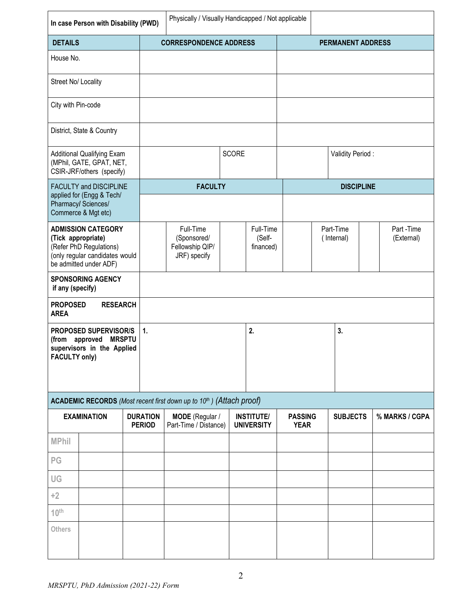|                                | In case Person with Disability (PWD)                                                                                                   |                                  |    | Physically / Visually Handicapped / Not applicable                            |       |                                        |                               |                         |                   |                         |
|--------------------------------|----------------------------------------------------------------------------------------------------------------------------------------|----------------------------------|----|-------------------------------------------------------------------------------|-------|----------------------------------------|-------------------------------|-------------------------|-------------------|-------------------------|
| <b>DETAILS</b>                 |                                                                                                                                        |                                  |    | <b>CORRESPONDENCE ADDRESS</b>                                                 |       |                                        |                               |                         | PERMANENT ADDRESS |                         |
| House No.                      |                                                                                                                                        |                                  |    |                                                                               |       |                                        |                               |                         |                   |                         |
|                                | Street No/ Locality                                                                                                                    |                                  |    |                                                                               |       |                                        |                               |                         |                   |                         |
| City with Pin-code             |                                                                                                                                        |                                  |    |                                                                               |       |                                        |                               |                         |                   |                         |
|                                | District, State & Country                                                                                                              |                                  |    |                                                                               |       |                                        |                               |                         |                   |                         |
|                                | <b>Additional Qualifying Exam</b><br>(MPhil, GATE, GPAT, NET,<br>CSIR-JRF/others (specify)                                             |                                  |    |                                                                               | SCORE |                                        |                               |                         | Validity Period:  |                         |
|                                | FACULTY and DISCIPLINE<br>applied for (Engg & Tech/<br>Pharmacy/Sciences/<br>Commerce & Mgt etc)                                       |                                  |    | <b>FACULTY</b>                                                                |       |                                        |                               |                         | <b>DISCIPLINE</b> |                         |
|                                | <b>ADMISSION CATEGORY</b><br>(Tick appropriate)<br>(Refer PhD Regulations)<br>(only regular candidates would<br>be admitted under ADF) |                                  |    | Full-Time<br>(Sponsored/<br>Fellowship QIP/<br>JRF) specify                   |       | Full-Time<br>(Self-<br>financed)       |                               | Part-Time<br>(Internal) |                   | Part-Time<br>(External) |
| if any (specify)               | <b>SPONSORING AGENCY</b>                                                                                                               |                                  |    |                                                                               |       |                                        |                               |                         |                   |                         |
| <b>PROPOSED</b><br><b>AREA</b> | <b>RESEARCH</b>                                                                                                                        |                                  |    |                                                                               |       |                                        |                               |                         |                   |                         |
| <b>FACULTY only)</b>           | PROPOSED SUPERVISOR/S<br>(from approved MRSPTU<br>supervisors in the Applied                                                           |                                  | 1. |                                                                               |       | 2.                                     |                               |                         | 3.                |                         |
|                                |                                                                                                                                        |                                  |    | <b>ACADEMIC RECORDS</b> (Most recent first down up to $10th$ ) (Attach proof) |       |                                        |                               |                         |                   |                         |
|                                | <b>EXAMINATION</b>                                                                                                                     | <b>DURATION</b><br><b>PERIOD</b> |    | MODE (Regular /<br>Part-Time / Distance)                                      |       | <b>INSTITUTE/</b><br><b>UNIVERSITY</b> | <b>PASSING</b><br><b>YEAR</b> |                         | <b>SUBJECTS</b>   | % MARKS / CGPA          |
| <b>MPhil</b>                   |                                                                                                                                        |                                  |    |                                                                               |       |                                        |                               |                         |                   |                         |
| PG                             |                                                                                                                                        |                                  |    |                                                                               |       |                                        |                               |                         |                   |                         |
| UG                             |                                                                                                                                        |                                  |    |                                                                               |       |                                        |                               |                         |                   |                         |
| $+2$                           |                                                                                                                                        |                                  |    |                                                                               |       |                                        |                               |                         |                   |                         |
| $10^{\text{th}}$               |                                                                                                                                        |                                  |    |                                                                               |       |                                        |                               |                         |                   |                         |
| Others                         |                                                                                                                                        |                                  |    |                                                                               |       |                                        |                               |                         |                   |                         |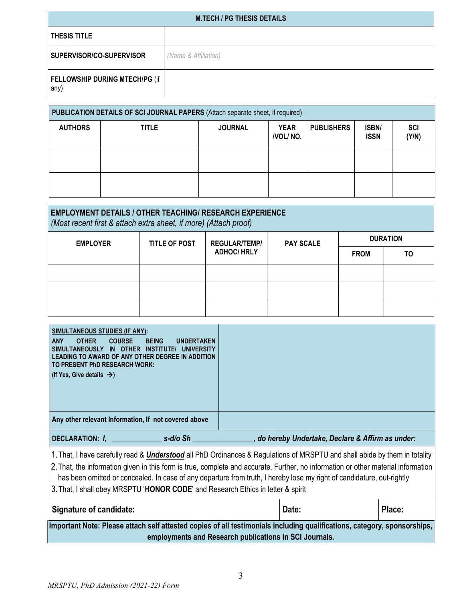|                          |                                |                      | <b>M.TECH / PG THESIS DETAILS</b>                                              |                         |                   |                      |                     |
|--------------------------|--------------------------------|----------------------|--------------------------------------------------------------------------------|-------------------------|-------------------|----------------------|---------------------|
| THESIS TITLE             |                                |                      |                                                                                |                         |                   |                      |                     |
| SUPERVISOR/CO-SUPERVISOR |                                | (Name & Affiliation) |                                                                                |                         |                   |                      |                     |
| any)                     | FELLOWSHIP DURING MTECH/PG (if |                      |                                                                                |                         |                   |                      |                     |
|                          |                                |                      | PUBLICATION DETAILS OF SCI JOURNAL PAPERS (Attach separate sheet, if required) |                         |                   |                      |                     |
| <b>AUTHORS</b>           | <b>TITLE</b>                   |                      | <b>JOURNAL</b>                                                                 | <b>YEAR</b><br>/VOL/NO. | <b>PUBLISHERS</b> | ISBN/<br><b>ISSN</b> | <b>SCI</b><br>(Y/N) |
|                          |                                |                      |                                                                                |                         |                   |                      |                     |

|                                        |              |                      | <b>M.TECH / PG THESIS DETAILS</b>                                                                                                   |                         |                   |                      |                     |
|----------------------------------------|--------------|----------------------|-------------------------------------------------------------------------------------------------------------------------------------|-------------------------|-------------------|----------------------|---------------------|
| THESIS TITLE                           |              |                      |                                                                                                                                     |                         |                   |                      |                     |
| SUPERVISOR/CO-SUPERVISOR               |              | (Name & Affiliation) |                                                                                                                                     |                         |                   |                      |                     |
| FELLOWSHIP DURING MTECH/PG (if<br>any) |              |                      |                                                                                                                                     |                         |                   |                      |                     |
|                                        |              |                      | PUBLICATION DETAILS OF SCI JOURNAL PAPERS (Attach separate sheet, if required)                                                      |                         |                   |                      |                     |
| <b>AUTHORS</b>                         | <b>TITLE</b> |                      | <b>JOURNAL</b>                                                                                                                      | <b>YEAR</b><br>/VOL/NO. | <b>PUBLISHERS</b> | ISBN/<br><b>ISSN</b> | <b>SCI</b><br>(Y/N) |
|                                        |              |                      |                                                                                                                                     |                         |                   |                      |                     |
|                                        |              |                      |                                                                                                                                     |                         |                   |                      |                     |
|                                        |              |                      | <b>EMPLOYMENT DETAILS / OTHER TEACHING/ RESEARCH EXPERIENCE</b><br>(Most recent first & attach extra sheet, if more) (Attach proof) |                         |                   |                      |                     |
| <b>EMPLOYER</b>                        |              | <b>TITLE OF POST</b> | <b>REGULAR/TEMP/</b>                                                                                                                | <b>PAY SCALE</b>        |                   |                      | <b>DURATION</b>     |
|                                        |              |                      | <b>ADHOC/ HRLY</b>                                                                                                                  |                         |                   | <b>FROM</b>          | T <sub>0</sub>      |
|                                        |              |                      |                                                                                                                                     |                         |                   |                      |                     |
|                                        |              |                      |                                                                                                                                     |                         |                   |                      |                     |

| <b>DURATION</b><br><b>EMPLOYER</b><br><b>TITLE OF POST</b><br><b>REGULAR/TEMP/</b><br><b>PAY SCALE</b><br><b>ADHOC/ HRLY</b><br><b>FROM</b><br>TO<br><b>SIMULTANEOUS STUDIES (IF ANY):</b>                                                                                                                                                                                                                                                                                           |
|--------------------------------------------------------------------------------------------------------------------------------------------------------------------------------------------------------------------------------------------------------------------------------------------------------------------------------------------------------------------------------------------------------------------------------------------------------------------------------------|
|                                                                                                                                                                                                                                                                                                                                                                                                                                                                                      |
|                                                                                                                                                                                                                                                                                                                                                                                                                                                                                      |
|                                                                                                                                                                                                                                                                                                                                                                                                                                                                                      |
|                                                                                                                                                                                                                                                                                                                                                                                                                                                                                      |
|                                                                                                                                                                                                                                                                                                                                                                                                                                                                                      |
|                                                                                                                                                                                                                                                                                                                                                                                                                                                                                      |
| <b>OTHER</b><br><b>ANY</b><br><b>COURSE</b><br><b>BEING</b><br><b>UNDERTAKEN</b><br>SIMULTANEOUSLY IN OTHER INSTITUTE/ UNIVERSITY<br>LEADING TO AWARD OF ANY OTHER DEGREE IN ADDITION<br>TO PRESENT PhD RESEARCH WORK:<br>(If Yes, Give details $\rightarrow$ )<br>Any other relevant Information, If not covered above                                                                                                                                                              |
| _ s-d/o Sh _<br>, do hereby Undertake, Declare & Affirm as under:<br>DECLARATION: I,                                                                                                                                                                                                                                                                                                                                                                                                 |
| 1. That, I have carefully read & <i>Understood</i> all PhD Ordinances & Regulations of MRSPTU and shall abide by them in totality<br>2. That, the information given in this form is true, complete and accurate. Further, no information or other material information<br>has been omitted or concealed. In case of any departure from truth, I hereby lose my right of candidature, out-rightly<br>3. That, I shall obey MRSPTU 'HONOR CODE' and Research Ethics in letter & spirit |
| <b>Signature of candidate:</b><br>Date:<br>Place:                                                                                                                                                                                                                                                                                                                                                                                                                                    |
| Important Note: Please attach self attested copies of all testimonials including qualifications, category, sponsorships,<br>employments and Research publications in SCI Journals.                                                                                                                                                                                                                                                                                                   |

| Signature of candidate:                                                                                                  | Date: | Place: |
|--------------------------------------------------------------------------------------------------------------------------|-------|--------|
| Important Note: Please attach self attested copies of all testimonials including qualifications, category, sponsorships, |       |        |
| employments and Research publications in SCI Journals.                                                                   |       |        |